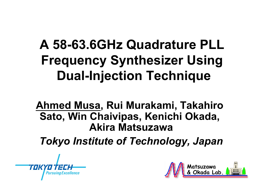# **A 58-63.6GHz Quadrature PLL Frequency Synthesizer Using Dual-Injection Technique**

**Ahmed Musa, Rui Murakami, Takahiro Sato, Win Chaivipas, Kenichi Okada, Akira Matsuzawa** *Tokyo Institute of Technology, Japan* 



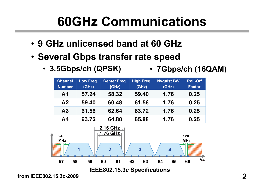# **60GHz Communications**

- **9 GHz unlicensed band at 60 GHz**
- **Several Gbps transfer rate speed** 
	- **3.5Gbps/ch (QPSK)** • **7Gbps/ch (16QAM)**

| <b>Channel</b> | Low Freq. | <b>Center Freq.</b> | <b>High Freq.</b> | <b>Nyquist BW</b> | <b>Roll-Off</b> |
|----------------|-----------|---------------------|-------------------|-------------------|-----------------|
| <b>Number</b>  | (GHz)     | (GHz)               | (GHz)             | (GHz)             | <b>Factor</b>   |
| A <sub>1</sub> | 57.24     | 58.32               | 59.40             | 1.76              | 0.25            |
| A <sub>2</sub> | 59.40     | 60.48               | 61.56             | 1.76              | 0.25            |
| A <sub>3</sub> | 61.56     | 62.64               | 63.72             | 1.76              | 0.25            |
| $\mathsf{A}4$  | 63.72     | 64.80               | 65.88             | 1.76              | 0.25            |



**from IEEE802.15.3c-2009**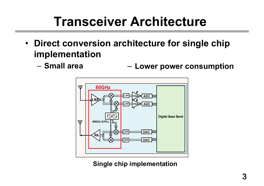### **Transceiver Architecture**

- **Direct conversion architecture for single chip implementation** 
	- **Small area**

− **Lower power consumption**



**Single chip implementation**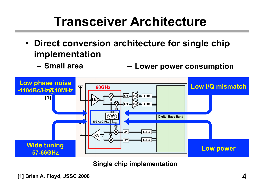### **Transceiver Architecture**

- **Direct conversion architecture for single chip implementation** 
	- **Small area**

− **Lower power consumption**



**Single chip implementation**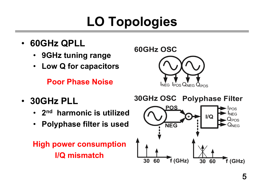# **LO Topologies**

- **60GHz QPLL** 
	- **9GHz tuning range**
	- **Low Q for capacitors**

**Poor Phase Noise**





- **30GHz PLL** 
	- **2nd harmonic is utilized**
	- **Polyphase filter is used**

**High power consumption I/Q mismatch** 

#### 30GHz OSC Polyphase Filter